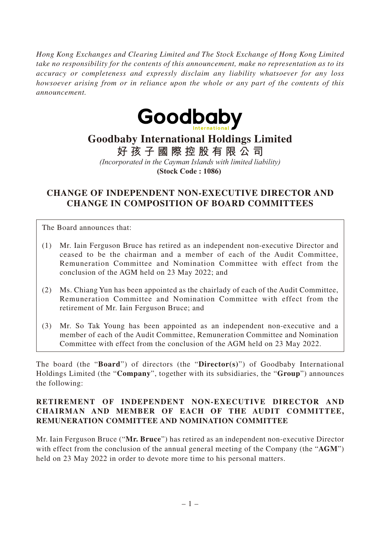*Hong Kong Exchanges and Clearing Limited and The Stock Exchange of Hong Kong Limited take no responsibility for the contents of this announcement, make no representation as to its accuracy or completeness and expressly disclaim any liability whatsoever for any loss howsoever arising from or in reliance upon the whole or any part of the contents of this announcement.*



# **Goodbaby International Holdings Limited**

**好孩子國際控股有限公司**

*(Incorporated in the Cayman Islands with limited liability)* **(Stock Code : 1086)** 

## **CHANGE OF INDEPENDENT NON-EXECUTIVE DIRECTOR AND CHANGE IN COMPOSITION OF BOARD COMMITTEES**

The Board announces that:

- (1) Mr. Iain Ferguson Bruce has retired as an independent non-executive Director and ceased to be the chairman and a member of each of the Audit Committee, Remuneration Committee and Nomination Committee with effect from the conclusion of the AGM held on 23 May 2022; and
- (2) Ms. Chiang Yun has been appointed as the chairlady of each of the Audit Committee, Remuneration Committee and Nomination Committee with effect from the retirement of Mr. Iain Ferguson Bruce; and
- (3) Mr. So Tak Young has been appointed as an independent non-executive and a member of each of the Audit Committee, Remuneration Committee and Nomination Committee with effect from the conclusion of the AGM held on 23 May 2022.

The board (the "**Board**") of directors (the "**Director(s)**") of Goodbaby International Holdings Limited (the "**Company**", together with its subsidiaries, the "**Group**") announces the following:

### **RETIREMENT OF INDEPENDENT NON-EXECUTIVE DIRECTOR AND CHAIRMAN AND MEMBER OF EACH OF THE AUDIT COMMITTEE, REMUNERATION COMMITTEE AND NOMINATION COMMITTEE**

Mr. Iain Ferguson Bruce ("**Mr. Bruce**") has retired as an independent non-executive Director with effect from the conclusion of the annual general meeting of the Company (the "**AGM**") held on 23 May 2022 in order to devote more time to his personal matters.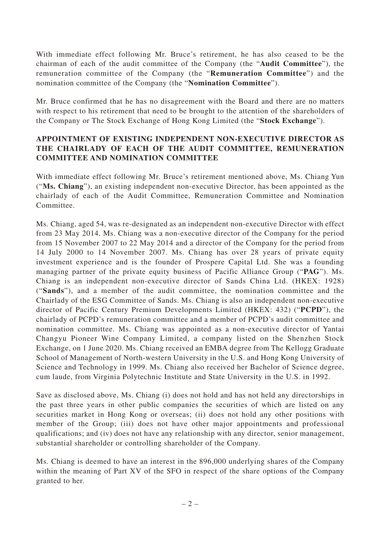With immediate effect following Mr. Bruce's retirement, he has also ceased to be the chairman of each of the audit committee of the Company (the "**Audit Committee**"), the remuneration committee of the Company (the "**Remuneration Committee**") and the nomination committee of the Company (the "**Nomination Committee**").

Mr. Bruce confirmed that he has no disagreement with the Board and there are no matters with respect to his retirement that need to be brought to the attention of the shareholders of the Company or The Stock Exchange of Hong Kong Limited (the "**Stock Exchange**").

### **APPOINTMENT OF EXISTING INDEPENDENT NON-EXECUTIVE DIRECTOR AS THE CHAIRLADY OF EACH OF THE AUDIT COMMITTEE, REMUNERATION COMMITTEE AND NOMINATION COMMITTEE**

With immediate effect following Mr. Bruce's retirement mentioned above, Ms. Chiang Yun ("**Ms. Chiang**"), an existing independent non-executive Director, has been appointed as the chairlady of each of the Audit Committee, Remuneration Committee and Nomination Committee.

Ms. Chiang, aged 54, was re-designated as an independent non-executive Director with effect from 23 May 2014. Ms. Chiang was a non-executive director of the Company for the period from 15 November 2007 to 22 May 2014 and a director of the Company for the period from 14 July 2000 to 14 November 2007. Ms. Chiang has over 28 years of private equity investment experience and is the founder of Prospere Capital Ltd. She was a founding managing partner of the private equity business of Pacific Alliance Group ("**PAG**"). Ms. Chiang is an independent non-executive director of Sands China Ltd. (HKEX: 1928) ("**Sands**"), and a member of the audit committee, the nomination committee and the Chairlady of the ESG Committee of Sands. Ms. Chiang is also an independent non-executive director of Pacific Century Premium Developments Limited (HKEX: 432) ("**PCPD**"), the chairlady of PCPD's remuneration committee and a member of PCPD's audit committee and nomination committee. Ms. Chiang was appointed as a non-executive director of Yantai Changyu Pioneer Wine Company Limited, a company listed on the Shenzhen Stock Exchange, on 1 June 2020. Ms. Chiang received an EMBA degree from The Kellogg Graduate School of Management of North-western University in the U.S. and Hong Kong University of Science and Technology in 1999. Ms. Chiang also received her Bachelor of Science degree, cum laude, from Virginia Polytechnic Institute and State University in the U.S. in 1992.

Save as disclosed above, Ms. Chiang (i) does not hold and has not held any directorships in the past three years in other public companies the securities of which are listed on any securities market in Hong Kong or overseas; (ii) does not hold any other positions with member of the Group; (iii) does not have other major appointments and professional qualifications; and (iv) does not have any relationship with any director, senior management, substantial shareholder or controlling shareholder of the Company.

Ms. Chiang is deemed to have an interest in the 896,000 underlying shares of the Company within the meaning of Part XV of the SFO in respect of the share options of the Company granted to her.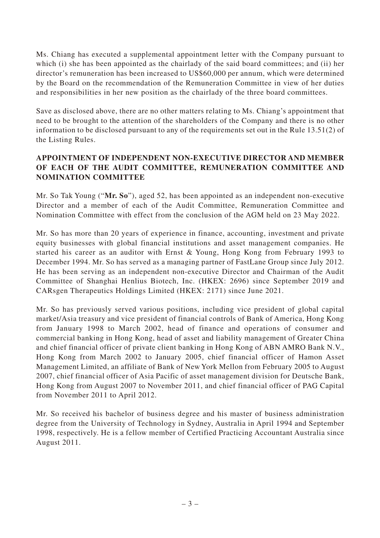Ms. Chiang has executed a supplemental appointment letter with the Company pursuant to which (i) she has been appointed as the chairlady of the said board committees; and (ii) her director's remuneration has been increased to US\$60,000 per annum, which were determined by the Board on the recommendation of the Remuneration Committee in view of her duties and responsibilities in her new position as the chairlady of the three board committees.

Save as disclosed above, there are no other matters relating to Ms. Chiang's appointment that need to be brought to the attention of the shareholders of the Company and there is no other information to be disclosed pursuant to any of the requirements set out in the Rule 13.51(2) of the Listing Rules.

### **APPOINTMENT OF INDEPENDENT NON-EXECUTIVE DIRECTOR AND MEMBER OF EACH OF THE AUDIT COMMITTEE, REMUNERATION COMMITTEE AND NOMINATION COMMITTEE**

Mr. So Tak Young ("**Mr. So**"), aged 52, has been appointed as an independent non-executive Director and a member of each of the Audit Committee, Remuneration Committee and Nomination Committee with effect from the conclusion of the AGM held on 23 May 2022.

Mr. So has more than 20 years of experience in finance, accounting, investment and private equity businesses with global financial institutions and asset management companies. He started his career as an auditor with Ernst & Young, Hong Kong from February 1993 to December 1994. Mr. So has served as a managing partner of FastLane Group since July 2012. He has been serving as an independent non-executive Director and Chairman of the Audit Committee of Shanghai Henlius Biotech, Inc. (HKEX: 2696) since September 2019 and CARsgen Therapeutics Holdings Limited (HKEX: 2171) since June 2021.

Mr. So has previously served various positions, including vice president of global capital market/Asia treasury and vice president of financial controls of Bank of America, Hong Kong from January 1998 to March 2002, head of finance and operations of consumer and commercial banking in Hong Kong, head of asset and liability management of Greater China and chief financial officer of private client banking in Hong Kong of ABN AMRO Bank N.V., Hong Kong from March 2002 to January 2005, chief financial officer of Hamon Asset Management Limited, an affiliate of Bank of New York Mellon from February 2005 to August 2007, chief financial officer of Asia Pacific of asset management division for Deutsche Bank, Hong Kong from August 2007 to November 2011, and chief financial officer of PAG Capital from November 2011 to April 2012.

Mr. So received his bachelor of business degree and his master of business administration degree from the University of Technology in Sydney, Australia in April 1994 and September 1998, respectively. He is a fellow member of Certified Practicing Accountant Australia since August 2011.